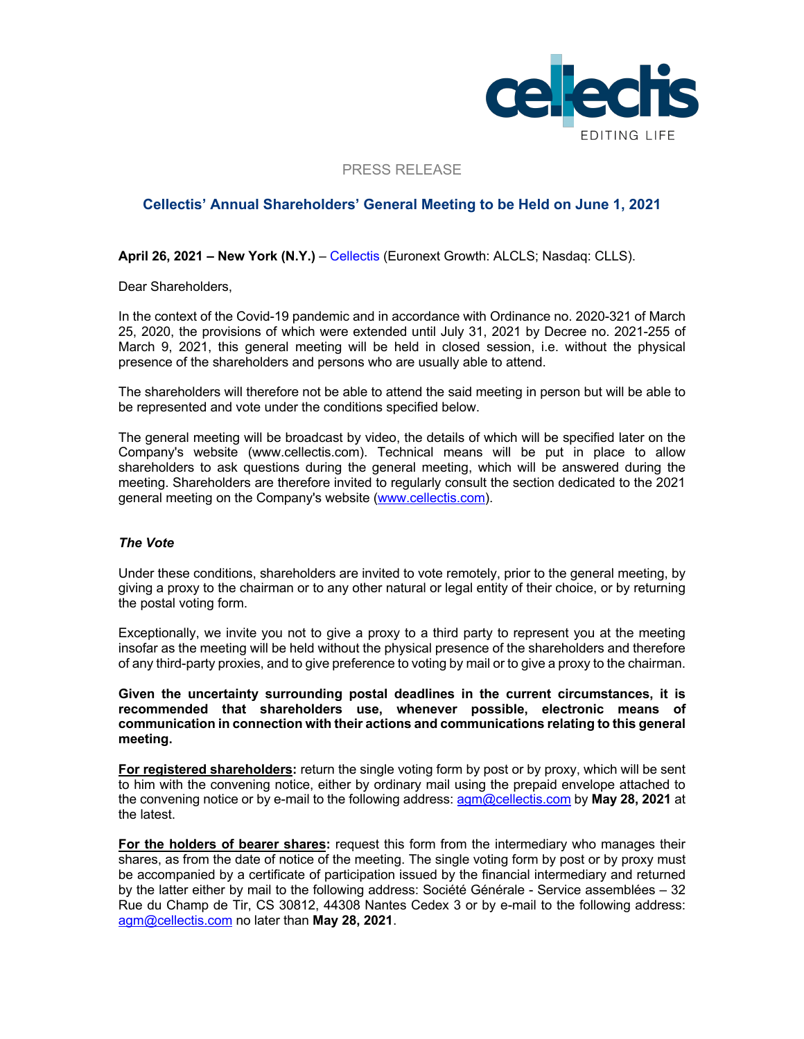

PRESS RELEASE

# **Cellectis' Annual Shareholders' General Meeting to be Held on June 1, 2021**

**April 26, 2021 – New York (N.Y.)** – Cellectis (Euronext Growth: ALCLS; Nasdaq: CLLS).

Dear Shareholders,

In the context of the Covid-19 pandemic and in accordance with Ordinance no. 2020-321 of March 25, 2020, the provisions of which were extended until July 31, 2021 by Decree no. 2021-255 of March 9, 2021, this general meeting will be held in closed session, i.e. without the physical presence of the shareholders and persons who are usually able to attend.

The shareholders will therefore not be able to attend the said meeting in person but will be able to be represented and vote under the conditions specified below.

The general meeting will be broadcast by video, the details of which will be specified later on the Company's website (www.cellectis.com). Technical means will be put in place to allow shareholders to ask questions during the general meeting, which will be answered during the meeting. Shareholders are therefore invited to regularly consult the section dedicated to the 2021 general meeting on the Company's website (www.cellectis.com).

### *The Vote*

Under these conditions, shareholders are invited to vote remotely, prior to the general meeting, by giving a proxy to the chairman or to any other natural or legal entity of their choice, or by returning the postal voting form.

Exceptionally, we invite you not to give a proxy to a third party to represent you at the meeting insofar as the meeting will be held without the physical presence of the shareholders and therefore of any third-party proxies, and to give preference to voting by mail or to give a proxy to the chairman.

**Given the uncertainty surrounding postal deadlines in the current circumstances, it is recommended that shareholders use, whenever possible, electronic means of communication in connection with their actions and communications relating to this general meeting.**

**For registered shareholders:** return the single voting form by post or by proxy, which will be sent to him with the convening notice, either by ordinary mail using the prepaid envelope attached to the convening notice or by e-mail to the following address: agm@cellectis.com by **May 28, 2021** at the latest.

**For the holders of bearer shares:** request this form from the intermediary who manages their shares, as from the date of notice of the meeting. The single voting form by post or by proxy must be accompanied by a certificate of participation issued by the financial intermediary and returned by the latter either by mail to the following address: Société Générale - Service assemblées – 32 Rue du Champ de Tir, CS 30812, 44308 Nantes Cedex 3 or by e-mail to the following address: agm@cellectis.com no later than **May 28, 2021**.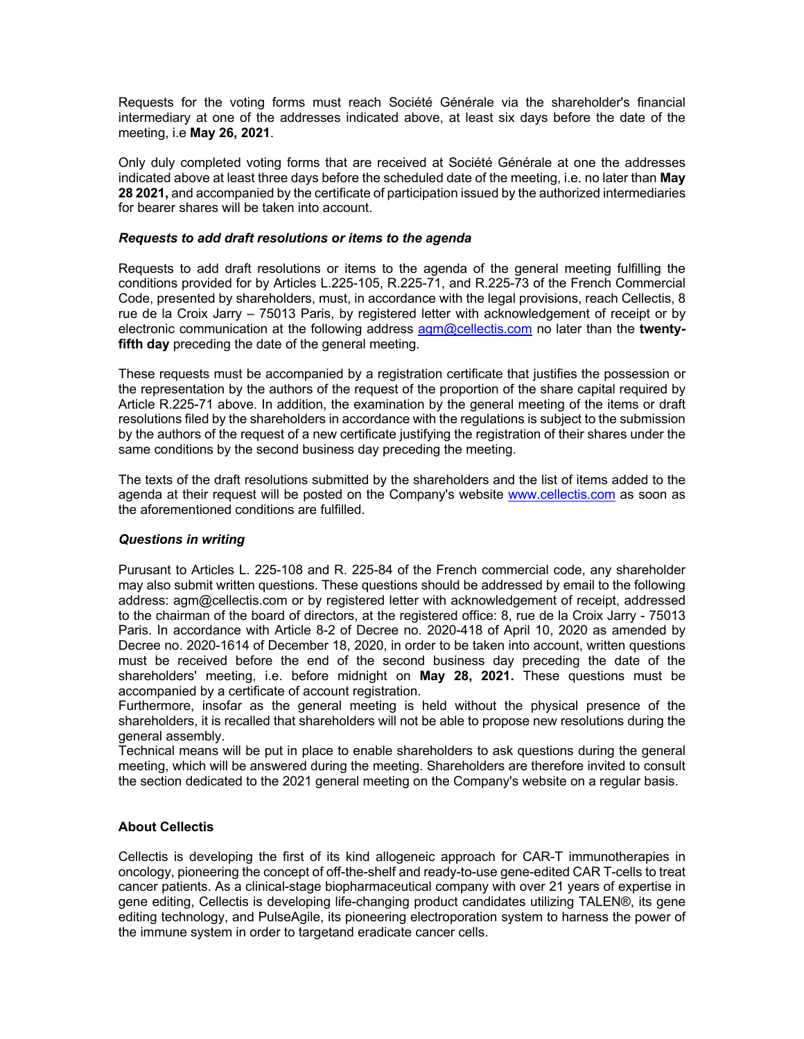Requests for the voting forms must reach Société Générale via the shareholder's financial intermediary at one of the addresses indicated above, at least six days before the date of the meeting, i.e **May 26, 2021**.

Only duly completed voting forms that are received at Société Générale at one the addresses indicated above at least three days before the scheduled date of the meeting, i.e. no later than **May 28 2021,** and accompanied by the certificate of participation issued by the authorized intermediaries for bearer shares will be taken into account.

### *Requests to add draft resolutions or items to the agenda*

Requests to add draft resolutions or items to the agenda of the general meeting fulfilling the conditions provided for by Articles L.225-105, R.225-71, and R.225-73 of the French Commercial Code, presented by shareholders, must, in accordance with the legal provisions, reach Cellectis, 8 rue de la Croix Jarry – 75013 Paris, by registered letter with acknowledgement of receipt or by electronic communication at the following address agm@cellectis.com no later than the **twentyfifth day** preceding the date of the general meeting.

These requests must be accompanied by a registration certificate that justifies the possession or the representation by the authors of the request of the proportion of the share capital required by Article R.225-71 above. In addition, the examination by the general meeting of the items or draft resolutions filed by the shareholders in accordance with the regulations is subject to the submission by the authors of the request of a new certificate justifying the registration of their shares under the same conditions by the second business day preceding the meeting.

The texts of the draft resolutions submitted by the shareholders and the list of items added to the agenda at their request will be posted on the Company's website www.cellectis.com as soon as the aforementioned conditions are fulfilled.

## *Questions in writing*

Purusant to Articles L. 225-108 and R. 225-84 of the French commercial code, any shareholder may also submit written questions. These questions should be addressed by email to the following address: agm@cellectis.com or by registered letter with acknowledgement of receipt, addressed to the chairman of the board of directors, at the registered office: 8, rue de la Croix Jarry - 75013 Paris. In accordance with Article 8-2 of Decree no. 2020-418 of April 10, 2020 as amended by Decree no. 2020-1614 of December 18, 2020, in order to be taken into account, written questions must be received before the end of the second business day preceding the date of the shareholders' meeting, i.e. before midnight on **May 28, 2021.** These questions must be accompanied by a certificate of account registration.

Furthermore, insofar as the general meeting is held without the physical presence of the shareholders, it is recalled that shareholders will not be able to propose new resolutions during the general assembly.

Technical means will be put in place to enable shareholders to ask questions during the general meeting, which will be answered during the meeting. Shareholders are therefore invited to consult the section dedicated to the 2021 general meeting on the Company's website on a regular basis.

### **About Cellectis**

Cellectis is developing the first of its kind allogeneic approach for CAR-T immunotherapies in oncology, pioneering the concept of off-the-shelf and ready-to-use gene-edited CAR T-cells to treat cancer patients. As a clinical-stage biopharmaceutical company with over 21 years of expertise in gene editing, Cellectis is developing life-changing product candidates utilizing TALEN®, its gene editing technology, and PulseAgile, its pioneering electroporation system to harness the power of the immune system in order to targetand eradicate cancer cells.